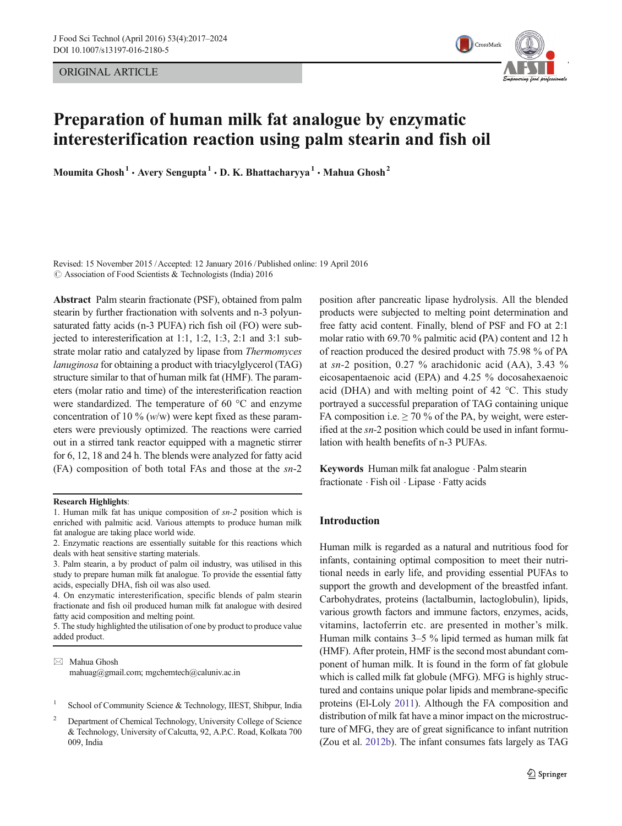ORIGINAL ARTICLE



# Preparation of human milk fat analogue by enzymatic interesterification reaction using palm stearin and fish oil

Moumita Ghosh<sup>1</sup>  $\cdot$  Avery Sengupta<sup>1</sup>  $\cdot$  D. K. Bhattacharyya<sup>1</sup>  $\cdot$  Mahua Ghosh<sup>2</sup>

Revised: 15 November 2015 /Accepted: 12 January 2016 / Published online: 19 April 2016 © Association of Food Scientists & Technologists (India) 2016

Abstract Palm stearin fractionate (PSF), obtained from palm stearin by further fractionation with solvents and n-3 polyunsaturated fatty acids (n-3 PUFA) rich fish oil (FO) were subjected to interesterification at 1:1, 1:2, 1:3, 2:1 and 3:1 substrate molar ratio and catalyzed by lipase from Thermomyces lanuginosa for obtaining a product with triacylglycerol (TAG) structure similar to that of human milk fat (HMF). The parameters (molar ratio and time) of the interesterification reaction were standardized. The temperature of 60 °C and enzyme concentration of 10 %  $(w/w)$  were kept fixed as these parameters were previously optimized. The reactions were carried out in a stirred tank reactor equipped with a magnetic stirrer for 6, 12, 18 and 24 h. The blends were analyzed for fatty acid (FA) composition of both total FAs and those at the sn-2

# Research Highlights:

- 1. Human milk fat has unique composition of sn-2 position which is enriched with palmitic acid. Various attempts to produce human milk fat analogue are taking place world wide.
- 2. Enzymatic reactions are essentially suitable for this reactions which deals with heat sensitive starting materials.
- 3. Palm stearin, a by product of palm oil industry, was utilised in this study to prepare human milk fat analogue. To provide the essential fatty acids, especially DHA, fish oil was also used.

4. On enzymatic interesterification, specific blends of palm stearin fractionate and fish oil produced human milk fat analogue with desired fatty acid composition and melting point.

5. The study highlighted the utilisation of one by product to produce value added product.

 $\boxtimes$  Mahua Ghosh mahuag@gmail.com; mgchemtech@caluniv.ac.in

- School of Community Science & Technology, IIEST, Shibpur, India
- <sup>2</sup> Department of Chemical Technology, University College of Science & Technology, University of Calcutta, 92, A.P.C. Road, Kolkata 700 009, India

position after pancreatic lipase hydrolysis. All the blended products were subjected to melting point determination and free fatty acid content. Finally, blend of PSF and FO at 2:1 molar ratio with 69.70 % palmitic acid (PA) content and 12 h of reaction produced the desired product with 75.98 % of PA at sn-2 position, 0.27 % arachidonic acid (AA), 3.43 % eicosapentaenoic acid (EPA) and 4.25 % docosahexaenoic acid (DHA) and with melting point of 42 °C. This study portrayed a successful preparation of TAG containing unique FA composition i.e.  $\geq 70$  % of the PA, by weight, were esterified at the sn-2 position which could be used in infant formulation with health benefits of n-3 PUFAs.

Keywords Human milk fat analogue . Palm stearin fractionate . Fish oil . Lipase . Fatty acids

# Introduction

Human milk is regarded as a natural and nutritious food for infants, containing optimal composition to meet their nutritional needs in early life, and providing essential PUFAs to support the growth and development of the breastfed infant. Carbohydrates, proteins (lactalbumin, lactoglobulin), lipids, various growth factors and immune factors, enzymes, acids, vitamins, lactoferrin etc. are presented in mother's milk. Human milk contains 3–5 % lipid termed as human milk fat (HMF). After protein, HMF is the second most abundant component of human milk. It is found in the form of fat globule which is called milk fat globule (MFG). MFG is highly structured and contains unique polar lipids and membrane-specific proteins (El-Loly [2011](#page-6-0)). Although the FA composition and distribution of milk fat have a minor impact on the microstructure of MFG, they are of great significance to infant nutrition (Zou et al. [2012b](#page-7-0)). The infant consumes fats largely as TAG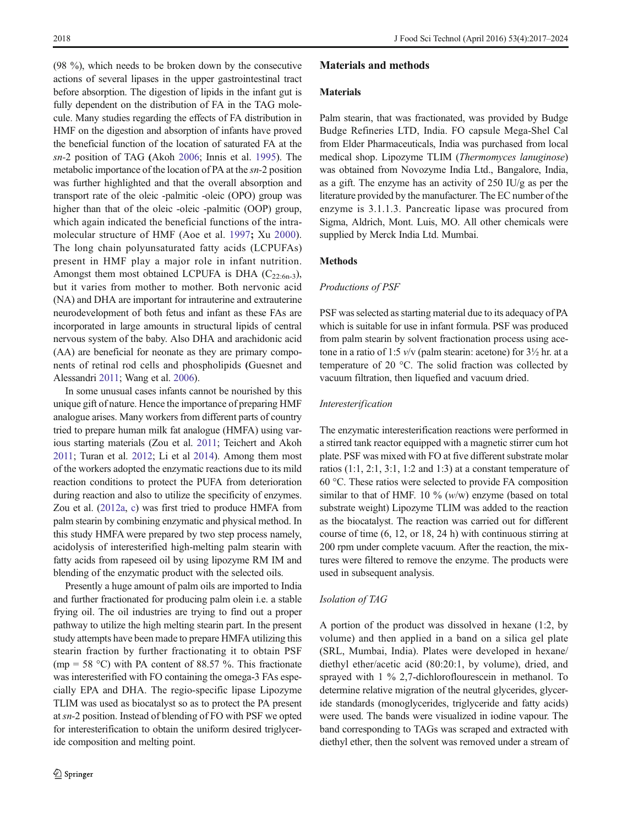(98 %), which needs to be broken down by the consecutive actions of several lipases in the upper gastrointestinal tract before absorption. The digestion of lipids in the infant gut is fully dependent on the distribution of FA in the TAG molecule. Many studies regarding the effects of FA distribution in HMF on the digestion and absorption of infants have proved the beneficial function of the location of saturated FA at the sn-2 position of TAG (Akoh [2006;](#page-6-0) Innis et al. [1995](#page-6-0)). The metabolic importance of the location of PA at the sn-2 position was further highlighted and that the overall absorption and transport rate of the oleic -palmitic -oleic (OPO) group was higher than that of the oleic -oleic -palmitic (OOP) group, which again indicated the beneficial functions of the intramolecular structure of HMF (Aoe et al. [1997](#page-6-0); Xu [2000](#page-7-0)). The long chain polyunsaturated fatty acids (LCPUFAs) present in HMF play a major role in infant nutrition. Amongst them most obtained LCPUFA is DHA  $(C_{22.6n-3})$ , but it varies from mother to mother. Both nervonic acid (NA) and DHA are important for intrauterine and extrauterine neurodevelopment of both fetus and infant as these FAs are incorporated in large amounts in structural lipids of central nervous system of the baby. Also DHA and arachidonic acid (AA) are beneficial for neonate as they are primary components of retinal rod cells and phospholipids (Guesnet and Alessandri [2011](#page-6-0); Wang et al. [2006\)](#page-7-0).

In some unusual cases infants cannot be nourished by this unique gift of nature. Hence the importance of preparing HMF analogue arises. Many workers from different parts of country tried to prepare human milk fat analogue (HMFA) using various starting materials (Zou et al. [2011;](#page-7-0) Teichert and Akoh [2011](#page-7-0); Turan et al. [2012;](#page-7-0) Li et al [2014\)](#page-6-0). Among them most of the workers adopted the enzymatic reactions due to its mild reaction conditions to protect the PUFA from deterioration during reaction and also to utilize the specificity of enzymes. Zou et al. [\(2012a,](#page-7-0) [c\)](#page-7-0) was first tried to produce HMFA from palm stearin by combining enzymatic and physical method. In this study HMFA were prepared by two step process namely, acidolysis of interesterified high-melting palm stearin with fatty acids from rapeseed oil by using lipozyme RM IM and blending of the enzymatic product with the selected oils.

Presently a huge amount of palm oils are imported to India and further fractionated for producing palm olein i.e. a stable frying oil. The oil industries are trying to find out a proper pathway to utilize the high melting stearin part. In the present study attempts have been made to prepare HMFA utilizing this stearin fraction by further fractionating it to obtain PSF (mp = 58 °C) with PA content of 88.57 %. This fractionate was interesterified with FO containing the omega-3 FAs especially EPA and DHA. The regio-specific lipase Lipozyme TLIM was used as biocatalyst so as to protect the PA present at sn-2 position. Instead of blending of FO with PSF we opted for interesterification to obtain the uniform desired triglyceride composition and melting point.

## Materials and methods

### Materials

Palm stearin, that was fractionated, was provided by Budge Budge Refineries LTD, India. FO capsule Mega-Shel Cal from Elder Pharmaceuticals, India was purchased from local medical shop. Lipozyme TLIM (Thermomyces lanuginose) was obtained from Novozyme India Ltd., Bangalore, India, as a gift. The enzyme has an activity of 250 IU/g as per the literature provided by the manufacturer. The EC number of the enzyme is 3.1.1.3. Pancreatic lipase was procured from Sigma, Aldrich, Mont. Luis, MO. All other chemicals were supplied by Merck India Ltd. Mumbai.

# Methods

#### Productions of PSF

PSF was selected as starting material due to its adequacy of PA which is suitable for use in infant formula. PSF was produced from palm stearin by solvent fractionation process using acetone in a ratio of 1:5  $v/v$  (palm stearin: acetone) for  $3\frac{1}{2}$  hr. at a temperature of 20 °C. The solid fraction was collected by vacuum filtration, then liquefied and vacuum dried.

#### Interesterification

The enzymatic interesterification reactions were performed in a stirred tank reactor equipped with a magnetic stirrer cum hot plate. PSF was mixed with FO at five different substrate molar ratios (1:1, 2:1, 3:1, 1:2 and 1:3) at a constant temperature of 60 °C. These ratios were selected to provide FA composition similar to that of HMF. 10 %  $(w/w)$  enzyme (based on total substrate weight) Lipozyme TLIM was added to the reaction as the biocatalyst. The reaction was carried out for different course of time (6, 12, or 18, 24 h) with continuous stirring at 200 rpm under complete vacuum. After the reaction, the mixtures were filtered to remove the enzyme. The products were used in subsequent analysis.

#### Isolation of TAG

A portion of the product was dissolved in hexane (1:2, by volume) and then applied in a band on a silica gel plate (SRL, Mumbai, India). Plates were developed in hexane/ diethyl ether/acetic acid (80:20:1, by volume), dried, and sprayed with 1 % 2,7-dichloroflourescein in methanol. To determine relative migration of the neutral glycerides, glyceride standards (monoglycerides, triglyceride and fatty acids) were used. The bands were visualized in iodine vapour. The band corresponding to TAGs was scraped and extracted with diethyl ether, then the solvent was removed under a stream of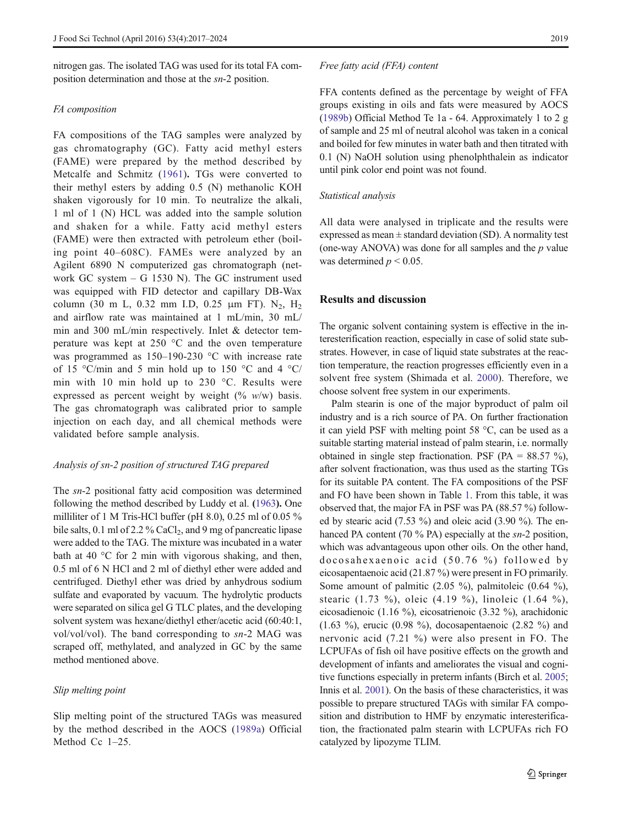nitrogen gas. The isolated TAG was used for its total FA composition determination and those at the sn-2 position.

## FA composition

FA compositions of the TAG samples were analyzed by gas chromatography (GC). Fatty acid methyl esters (FAME) were prepared by the method described by Metcalfe and Schmitz ([1961\)](#page-6-0). TGs were converted to their methyl esters by adding 0.5 (N) methanolic KOH shaken vigorously for 10 min. To neutralize the alkali, 1 ml of 1 (N) HCL was added into the sample solution and shaken for a while. Fatty acid methyl esters (FAME) were then extracted with petroleum ether (boiling point 40–608C). FAMEs were analyzed by an Agilent 6890 N computerized gas chromatograph (network GC system – G 1530 N). The GC instrument used was equipped with FID detector and capillary DB-Wax column (30 m L, 0.32 mm I.D, 0.25  $\mu$ m FT). N<sub>2</sub>, H<sub>2</sub> and airflow rate was maintained at 1 mL/min, 30 mL/ min and 300 mL/min respectively. Inlet & detector temperature was kept at 250 °C and the oven temperature was programmed as 150–190-230 °C with increase rate of 15 °C/min and 5 min hold up to 150 °C and 4 °C/ min with 10 min hold up to 230 °C. Results were expressed as percent weight by weight  $(\% w/w)$  basis. The gas chromatograph was calibrated prior to sample injection on each day, and all chemical methods were validated before sample analysis.

## Analysis of sn-2 position of structured TAG prepared

The sn-2 positional fatty acid composition was determined following the method described by Luddy et al. ([1963](#page-6-0)). One milliliter of 1 M Tris-HCl buffer (pH 8.0), 0.25 ml of 0.05 % bile salts,  $0.1$  ml of  $2.2$ % CaCl<sub>2</sub>, and 9 mg of pancreatic lipase were added to the TAG. The mixture was incubated in a water bath at 40 °C for 2 min with vigorous shaking, and then, 0.5 ml of 6 N HCl and 2 ml of diethyl ether were added and centrifuged. Diethyl ether was dried by anhydrous sodium sulfate and evaporated by vacuum. The hydrolytic products were separated on silica gel G TLC plates, and the developing solvent system was hexane/diethyl ether/acetic acid (60:40:1, vol/vol/vol). The band corresponding to sn-2 MAG was scraped off, methylated, and analyzed in GC by the same method mentioned above.

# Slip melting point

Slip melting point of the structured TAGs was measured by the method described in the AOCS [\(1989a](#page-6-0)) Official Method Cc 1–25.

#### Free fatty acid (FFA) content

FFA contents defined as the percentage by weight of FFA groups existing in oils and fats were measured by AOCS [\(1989b\)](#page-6-0) Official Method Te 1a - 64. Approximately 1 to 2 g of sample and 25 ml of neutral alcohol was taken in a conical and boiled for few minutes in water bath and then titrated with 0.1 (N) NaOH solution using phenolphthalein as indicator until pink color end point was not found.

#### Statistical analysis

All data were analysed in triplicate and the results were expressed as mean  $\pm$  standard deviation (SD). A normality test (one-way ANOVA) was done for all samples and the  $p$  value was determined  $p < 0.05$ .

## Results and discussion

The organic solvent containing system is effective in the interesterification reaction, especially in case of solid state substrates. However, in case of liquid state substrates at the reaction temperature, the reaction progresses efficiently even in a solvent free system (Shimada et al. [2000](#page-7-0)). Therefore, we choose solvent free system in our experiments.

Palm stearin is one of the major byproduct of palm oil industry and is a rich source of PA. On further fractionation it can yield PSF with melting point 58 °C, can be used as a suitable starting material instead of palm stearin, i.e. normally obtained in single step fractionation. PSF (PA =  $88.57 \%$ ), after solvent fractionation, was thus used as the starting TGs for its suitable PA content. The FA compositions of the PSF and FO have been shown in Table [1](#page-3-0). From this table, it was observed that, the major FA in PSF was PA (88.57 %) followed by stearic acid (7.53 %) and oleic acid (3.90 %). The enhanced PA content (70 % PA) especially at the sn-2 position, which was advantageous upon other oils. On the other hand, docosahexaenoic acid (50.76 %) followed by eicosapentaenoic acid (21.87 %) were present in FO primarily. Some amount of palmitic (2.05 %), palmitoleic (0.64 %), stearic (1.73 %), oleic (4.19 %), linoleic (1.64 %), eicosadienoic (1.16 %), eicosatrienoic (3.32 %), arachidonic (1.63 %), erucic (0.98 %), docosapentaenoic (2.82 %) and nervonic acid (7.21 %) were also present in FO. The LCPUFAs of fish oil have positive effects on the growth and development of infants and ameliorates the visual and cognitive functions especially in preterm infants (Birch et al. [2005;](#page-6-0) Innis et al. [2001](#page-6-0)). On the basis of these characteristics, it was possible to prepare structured TAGs with similar FA composition and distribution to HMF by enzymatic interesterification, the fractionated palm stearin with LCPUFAs rich FO catalyzed by lipozyme TLIM.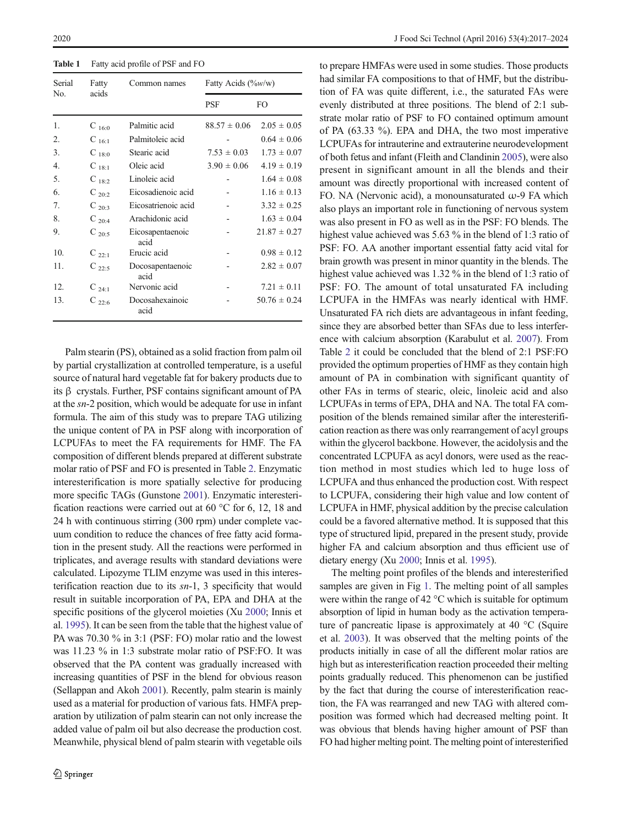<span id="page-3-0"></span>Table 1 Fatty acid profile of PSF and FO

| Serial | Fatty      | Common names             | Fatty Acids $(\%w/w)$ |                  |
|--------|------------|--------------------------|-----------------------|------------------|
| No.    | acids      |                          | PSF                   | FO.              |
| 1.     | $C_{16:0}$ | Palmitic acid            | $88.57 \pm 0.06$      | $2.05 \pm 0.05$  |
| 2.     | $C_{16:1}$ | Palmitoleic acid         |                       | $0.64 \pm 0.06$  |
| 3.     | $C_{18:0}$ | Stearic acid             | $7.53 \pm 0.03$       | $1.73 \pm 0.07$  |
| 4.     | $C_{18:1}$ | Oleic acid               | $3.90 \pm 0.06$       | $4.19 \pm 0.19$  |
| 5.     | $C_{18:2}$ | Linoleic acid            |                       | $1.64 \pm 0.08$  |
| 6.     | $C_{20:2}$ | Eicosadienoic acid       |                       | $1.16 \pm 0.13$  |
| 7.     | $C_{20:3}$ | Eicosatrienoic acid      |                       | $3.32 \pm 0.25$  |
| 8.     | $C_{20:4}$ | Arachidonic acid         |                       | $1.63 \pm 0.04$  |
| 9.     | $C_{20:5}$ | Eicosapentaenoic<br>acid |                       | $21.87 \pm 0.27$ |
| 10.    | $C_{22:1}$ | Erucic acid              |                       | $0.98 \pm 0.12$  |
| 11.    | $C_{22:5}$ | Docosapentaenoic<br>acid |                       | $2.82 \pm 0.07$  |
| 12.    | $C_{24:1}$ | Nervonic acid            |                       | $7.21 \pm 0.11$  |
| 13.    | $C_{22:6}$ | Docosahexainoic<br>acid  |                       | $50.76 \pm 0.24$ |

Palm stearin (PS), obtained as a solid fraction from palm oil by partial crystallization at controlled temperature, is a useful source of natural hard vegetable fat for bakery products due to its β crystals. Further, PSF contains significant amount of PA at the sn-2 position, which would be adequate for use in infant formula. The aim of this study was to prepare TAG utilizing the unique content of PA in PSF along with incorporation of LCPUFAs to meet the FA requirements for HMF. The FA composition of different blends prepared at different substrate molar ratio of PSF and FO is presented in Table [2.](#page-4-0) Enzymatic interesterification is more spatially selective for producing more specific TAGs (Gunstone [2001](#page-6-0)). Enzymatic interesterification reactions were carried out at 60 °C for 6, 12, 18 and 24 h with continuous stirring (300 rpm) under complete vacuum condition to reduce the chances of free fatty acid formation in the present study. All the reactions were performed in triplicates, and average results with standard deviations were calculated. Lipozyme TLIM enzyme was used in this interesterification reaction due to its  $sn-1$ , 3 specificity that would result in suitable incorporation of PA, EPA and DHA at the specific positions of the glycerol moieties (Xu [2000](#page-7-0); Innis et al. [1995\)](#page-6-0). It can be seen from the table that the highest value of PA was 70.30 % in 3:1 (PSF: FO) molar ratio and the lowest was 11.23 % in 1:3 substrate molar ratio of PSF:FO. It was observed that the PA content was gradually increased with increasing quantities of PSF in the blend for obvious reason (Sellappan and Akoh [2001\)](#page-7-0). Recently, palm stearin is mainly used as a material for production of various fats. HMFA preparation by utilization of palm stearin can not only increase the added value of palm oil but also decrease the production cost. Meanwhile, physical blend of palm stearin with vegetable oils to prepare HMFAs were used in some studies. Those products had similar FA compositions to that of HMF, but the distribution of FA was quite different, i.e., the saturated FAs were evenly distributed at three positions. The blend of 2:1 substrate molar ratio of PSF to FO contained optimum amount of PA (63.33 %). EPA and DHA, the two most imperative LCPUFAs for intrauterine and extrauterine neurodevelopment of both fetus and infant (Fleith and Clandinin [2005](#page-6-0)), were also present in significant amount in all the blends and their amount was directly proportional with increased content of FO. NA (Nervonic acid), a monounsaturated  $\omega$ -9 FA which also plays an important role in functioning of nervous system was also present in FO as well as in the PSF: FO blends. The highest value achieved was 5.63 % in the blend of 1:3 ratio of PSF: FO. AA another important essential fatty acid vital for brain growth was present in minor quantity in the blends. The highest value achieved was 1.32 % in the blend of 1:3 ratio of PSF: FO. The amount of total unsaturated FA including LCPUFA in the HMFAs was nearly identical with HMF. Unsaturated FA rich diets are advantageous in infant feeding, since they are absorbed better than SFAs due to less interference with calcium absorption (Karabulut et al. [2007](#page-6-0)). From Table [2](#page-4-0) it could be concluded that the blend of 2:1 PSF:FO provided the optimum properties of HMF as they contain high amount of PA in combination with significant quantity of other FAs in terms of stearic, oleic, linoleic acid and also LCPUFAs in terms of EPA, DHA and NA. The total FA composition of the blends remained similar after the interesterification reaction as there was only rearrangement of acyl groups within the glycerol backbone. However, the acidolysis and the concentrated LCPUFA as acyl donors, were used as the reaction method in most studies which led to huge loss of LCPUFA and thus enhanced the production cost. With respect to LCPUFA, considering their high value and low content of LCPUFA in HMF, physical addition by the precise calculation could be a favored alternative method. It is supposed that this type of structured lipid, prepared in the present study, provide higher FA and calcium absorption and thus efficient use of dietary energy (Xu [2000;](#page-7-0) Innis et al. [1995](#page-6-0)).

The melting point profiles of the blends and interesterified samples are given in Fig [1.](#page-4-0) The melting point of all samples were within the range of 42 °C which is suitable for optimum absorption of lipid in human body as the activation temperature of pancreatic lipase is approximately at 40 °C (Squire et al. [2003\)](#page-7-0). It was observed that the melting points of the products initially in case of all the different molar ratios are high but as interesterification reaction proceeded their melting points gradually reduced. This phenomenon can be justified by the fact that during the course of interesterification reaction, the FA was rearranged and new TAG with altered composition was formed which had decreased melting point. It was obvious that blends having higher amount of PSF than FO had higher melting point. The melting point of interesterified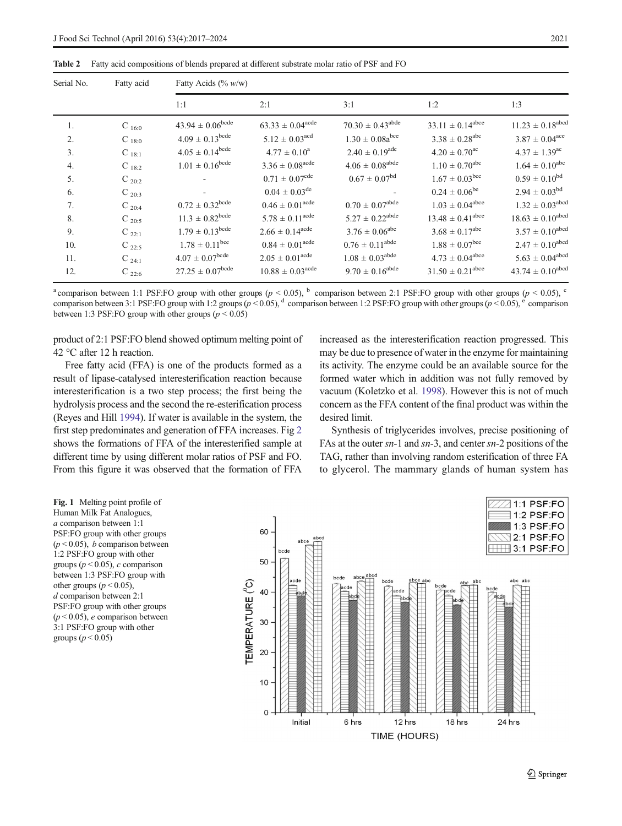<span id="page-4-0"></span>Table 2 Fatty acid compositions of blends prepared at different substrate molar ratio of PSF and FO

| Serial No. | Fatty acid | Fatty Acids (% w/w)            |                                  |                                 |                                  |                                 |
|------------|------------|--------------------------------|----------------------------------|---------------------------------|----------------------------------|---------------------------------|
|            |            | 1:1                            | 2:1                              | 3:1                             | 1:2                              | 1:3                             |
| 1.         | $C_{16:0}$ | $43.94 \pm 0.06^{\text{bcde}}$ | $63.33 \pm 0.04^{\text{acde}}$   | $70.30 \pm 0.43^{\text{abde}}$  | $33.11 \pm 0.14^{\text{abce}}$   | $11.23 \pm 0.18^{abcd}$         |
| 2.         | $C_{18:0}$ | $4.09 \pm 0.13^{\text{bcde}}$  | $5.12 \pm 0.03$ <sup>acd</sup>   | $1.30 \pm 0.08a^{bce}$          | $3.38 \pm 0.28$ <sup>abc</sup>   | $3.87 \pm 0.04^{\text{ace}}$    |
| 3.         | $C_{18:1}$ | $4.05 \pm 0.14^{\text{bcde}}$  | $4.77 \pm 0.10^a$                | $2.40 \pm 0.19^{\text{ade}}$    | $4.20 \pm 0.70^{\text{ac}}$      | $4.37 \pm 1.39^{\text{ac}}$     |
| 4.         | $C_{18:2}$ | $1.01 \pm 0.16^{\rm bede}$     | $3.36 \pm 0.08^{\text{acde}}$    | $4.06 \pm 0.08^{\rm abde}$      | $1.10 \pm 0.70^{\rm abc}$        | $1.64 \pm 0.10^{abc}$           |
| 5.         | $C_{20:2}$ |                                | $0.71 \pm 0.07^{\text{cde}}$     | $0.67 \pm 0.07^{bd}$            | $1.67 \pm 0.03$ bce              | $0.59 \pm 0.10^{bd}$            |
| 6.         | $C_{20:3}$ |                                | $0.04 \pm 0.03^{\text{de}}$      |                                 | $0.24 \pm 0.06^{\text{be}}$      | $2.94 \pm 0.03^{bd}$            |
| 7.         | $C_{20:4}$ | $0.72 \pm 0.32^{\text{bcde}}$  | $0.46 \pm 0.01^{\text{acde}}$    | $0.70\,\pm\,0.07^{\text{abde}}$ | $1.03 \pm 0.04^{\text{abce}}$    | $1.32 \pm 0.03^{\text{abcd}}$   |
| 8.         | $C_{20:5}$ | $11.3 \pm 0.82^{\text{bcde}}$  | $5.78 \pm 0.11^{\text{acde}}$    | $5.27 \pm 0.22^{\rm abde}$      | $13.48 \pm 0.41^{\text{abce}}$   | $18.63\,\pm\,0.10^{abcd}$       |
| 9.         | $C_{22:1}$ | $1.79 \pm 0.13^{\text{bcde}}$  | $2.66 \pm 0.14^{\text{acde}}$    | $3.76 \pm 0.06^{\text{abe}}$    | $3.68 \pm 0.17^{\text{abe}}$     | $3.57 \pm 0.10^{\text{abcd}}$   |
| 10.        | $C_{22:5}$ | $1.78 \pm 0.11$ <sup>bce</sup> | $0.84 \pm 0.01^{\text{acde}}$    | $0.76\pm0.11^{\text{abde}}$     | $1.88 \pm 0.07$ <sup>bce</sup>   | $2.47 \pm 0.10^{\text{abcd}}$   |
| 11.        | $C_{24:1}$ | $4.07\pm0.07^{\text{bcde}}$    | $2.05 \pm 0.01^{\text{acde}}$    | $1.08 \pm 0.03^{\rm abde}$      | $4.73 \pm 0.04^{\text{abce}}$    | $5.63\,\pm\,0.04^{\text{abcd}}$ |
| 12.        | $C_{22:6}$ | $27.25 \pm 0.07^{\text{bcde}}$ | $10.88 \pm 0.03$ <sup>acde</sup> | $9.70 \pm 0.16^{\text{abde}}$   | $31.50 \pm 0.21$ <sup>abce</sup> | $43.74 \pm 0.10^{abcd}$         |

<sup>a</sup> comparison between 1:1 PSF:FO group with other groups ( $p < 0.05$ ), <sup>b</sup> comparison between 2:1 PSF:FO group with other groups ( $p < 0.05$ ), <sup>c</sup> comparison between 3:1 PSF:FO group with 1:2 groups ( $p < 0.05$ ), <sup>d</sup> comparison between 1:2 PSF:FO group with other groups ( $p < 0.05$ ),  $\epsilon$  comparison between 1:3 PSF: FO group with other groups ( $p < 0.05$ )

product of 2:1 PSF:FO blend showed optimum melting point of 42 °C after 12 h reaction.

Free fatty acid (FFA) is one of the products formed as a result of lipase-catalysed interesterification reaction because interesterification is a two step process; the first being the hydrolysis process and the second the re-esterification process (Reyes and Hill [1994](#page-6-0)). If water is available in the system, the first step predominates and generation of FFA increases. Fig [2](#page-5-0) shows the formations of FFA of the interesterified sample at different time by using different molar ratios of PSF and FO. From this figure it was observed that the formation of FFA increased as the interesterification reaction progressed. This may be due to presence of water in the enzyme for maintaining its activity. The enzyme could be an available source for the formed water which in addition was not fully removed by vacuum (Koletzko et al. [1998](#page-6-0)). However this is not of much concern as the FFA content of the final product was within the desired limit.

Synthesis of triglycerides involves, precise positioning of FAs at the outer sn-1 and sn-3, and center sn-2 positions of the TAG, rather than involving random esterification of three FA to glycerol. The mammary glands of human system has

Fig. 1 Melting point profile of Human Milk Fat Analogues, a comparison between 1:1 PSF:FO group with other groups  $(p < 0.05)$ , *b* comparison between 1:2 PSF:FO group with other groups ( $p < 0.05$ ), c comparison between 1:3 PSF:FO group with other groups ( $p < 0.05$ ), d comparison between 2:1 PSF:FO group with other groups  $(p < 0.05)$ , e comparison between 3:1 PSF:FO group with other groups ( $p < 0.05$ )

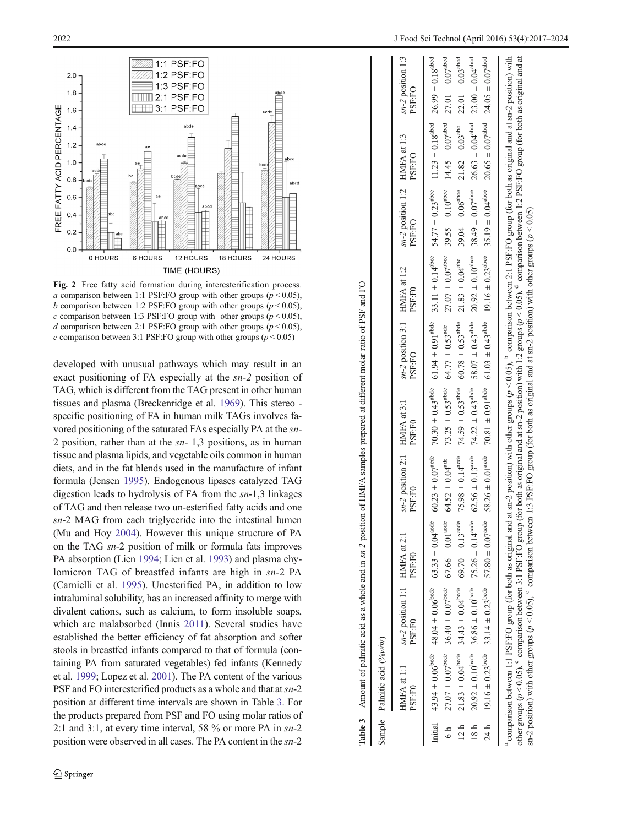<span id="page-5-0"></span>

Fig. 2 Free fatty acid formation during interesterification process. a comparison between 1:1 PSF:FO group with other groups ( $p < 0.05$ ), b comparison between 1:2 PSF: FO group with other groups ( $p \le 0.05$ ), c comparison between 1:3 PSF:FO group with other groups ( $p < 0.05$ ), d comparison between 2:1 PSF: FO group with other groups ( $p$  < 0.05), e comparison between 3:1 PSF:FO group with other groups ( $p < 0.05$ )

developed with unusual pathways which may result in an exact positioning of FA especially at the sn-2 position of TAG, which is different from the TAG present in other human tissues and plasma (Breckenridge et al. [1969\)](#page-6-0). This stereo specific positioning of FA in human milk TAGs involves favored positioning of the saturated FAs especially PA at the sn-2 position, rather than at the  $sn-1,3$  positions, as in human tissue and plasma lipids, and vegetable oils common in human diets, and in the fat blends used in the manufacture of infant formula (Jensen [1995\)](#page-6-0). Endogenous lipases catalyzed TAG digestion leads to hydrolysis of FA from the sn-1,3 linkages of TAG and then release two un-esterified fatty acids and one sn-2 MAG from each triglyceride into the intestinal lumen (Mu and Hoy [2004](#page-6-0)). However this unique structure of PA on the TAG sn-2 position of milk or formula fats improves PA absorption (Lien [1994](#page-6-0); Lien et al. [1993](#page-6-0)) and plasma chylomicron TAG of breastfed infants are high in sn-2 PA (Carnielli et al. [1995](#page-6-0)). Unesterified PA, in addition to low intraluminal solubility, has an increased affinity to merge with divalent cations, such as calcium, to form insoluble soaps, which are malabsorbed (Innis [2011](#page-6-0)). Several studies have established the better efficiency of fat absorption and softer stools in breastfed infants compared to that of formula (containing PA from saturated vegetables) fed infants (Kennedy et al. [1999;](#page-6-0) Lopez et al. [2001\)](#page-6-0). The PA content of the various PSF and FO interesterified products as a whole and that at  $sn-2$ position at different time intervals are shown in Table 3. For the products prepared from PSF and FO using molar ratios of 2:1 and 3:1, at every time interval, 58 % or more PA in sn-2 position were observed in all cases. The PA content in the sn-2

|      |                             |                                                                         | Table 3 Amount of palmitic acid as a whole and in sn-2 position of HMFA samples prepared at different molar ratio of PSF and FO                                                                                                                                                                                                                                                                                                                                                                                                                                                                                             |                                           |                                  |                                                                   |                                                                                                                                              |                                                                                                  |                                |                                      |
|------|-----------------------------|-------------------------------------------------------------------------|-----------------------------------------------------------------------------------------------------------------------------------------------------------------------------------------------------------------------------------------------------------------------------------------------------------------------------------------------------------------------------------------------------------------------------------------------------------------------------------------------------------------------------------------------------------------------------------------------------------------------------|-------------------------------------------|----------------------------------|-------------------------------------------------------------------|----------------------------------------------------------------------------------------------------------------------------------------------|--------------------------------------------------------------------------------------------------|--------------------------------|--------------------------------------|
|      | Sample Palmitic acid (%w/w) |                                                                         |                                                                                                                                                                                                                                                                                                                                                                                                                                                                                                                                                                                                                             |                                           |                                  |                                                                   |                                                                                                                                              |                                                                                                  |                                |                                      |
|      | HMFA at 1:1<br>PSF:F0       | $sn-2$ position 1:1 HMFA at 2:1<br>PSF:F0                               | PSF:F0                                                                                                                                                                                                                                                                                                                                                                                                                                                                                                                                                                                                                      | $sn-2$ position 2:1 HMFA at 3:1<br>PSF-F0 | PSF:F0                           | $sn-2$ position 3:1 HMFA at 1:2<br><b>PSF:FO</b>                  | PSF:F0                                                                                                                                       | sn-2 position 1:2 HMFA at 1:3<br><b>PSF:FO</b>                                                   | PSF:FO                         | $sn-2$ position 1:3<br><b>DSF:FO</b> |
|      |                             |                                                                         | Initial $43.94 \pm 0.06$ evete $48.04 \pm 0.06$ evete $63.33 \pm 0.030 \pm 0.030 \pm 0.030 \pm 0.030 \pm 0.030 \pm 0.030 \pm 0.030 \pm 0.030 \pm 0.030 \pm 0.030 \pm 0.030 \pm 0.030 \pm 0.030 \pm 0.030 \pm 0.030 \pm 0.030 \pm 0.030 \pm 0.030 \pm 0.030 \pm 0.030 \pm 0.03$                                                                                                                                                                                                                                                                                                                                              |                                           |                                  |                                                                   |                                                                                                                                              |                                                                                                  |                                |                                      |
| 6h   |                             | $27.07 \pm 0.07^{\text{bcde}}$ 36.40 $\pm 0.07^{\text{bcde}}$           | $67.66 \pm 0.01^{\text{aede}}$                                                                                                                                                                                                                                                                                                                                                                                                                                                                                                                                                                                              | $64.52 \pm 0.04^{\rm ade}$                | $73.25 \pm 0.53$ <sup>abde</sup> | $64.77 \pm 0.53$ <sup>ade</sup>                                   |                                                                                                                                              | $27.07 \pm 0.07^{\text{abce}}$ 39.55 $\pm$ 0.10 <sup>abcc</sup> 14.45 $\pm$ 0.07 <sup>abcd</sup> |                                | $27.01 \pm 0.07$ <sup>abcd</sup>     |
| 12 h |                             | $21.83 \pm 0.04^{\text{pode}}$ 34.43 $\pm 0.04^{\text{pode}}$           | $69.70 \pm 0.13$ <sup>acde</sup>                                                                                                                                                                                                                                                                                                                                                                                                                                                                                                                                                                                            | $75.98 \pm 0.14^{\text{a}cdc}$            | $74.59 \pm 0.53$ <sup>abde</sup> | $60.78 \pm 0.53$ <sup>abde</sup>                                  |                                                                                                                                              | $21.83 \pm 0.04^{\text{abc}}$ 39.04 $\pm$ 0.06 <sup>abce</sup>                                   | $21.82\pm0.03^{\rm abc}$       | $22.01 \pm 0.03$ <sup>abcd</sup>     |
| 18 h |                             | $20.92 \pm 0.10^{bode}$ 36.86 $\pm 0.10^{bode}$ 75.26 $\pm 0.14^{aode}$ |                                                                                                                                                                                                                                                                                                                                                                                                                                                                                                                                                                                                                             | $62.56\pm0.13^{\rm aede}$                 |                                  | $74.22 \pm 0.43$ <sup>abde</sup> 58.07 $\pm 0.43$ <sup>abde</sup> |                                                                                                                                              | $20.92 \pm 0.10^{abc}$ 38.49 $\pm 0.07^{abc}$                                                    | $26.63 \pm 0.04^{\text{abcd}}$ | $23.00 \pm 0.04$ <sup>abcd</sup>     |
|      |                             |                                                                         | 24 h 19.16 $\pm$ 0.23 <sup>bode</sup> 33.14 $\pm$ 0.23 <sup>bode</sup> 57.80 $\pm$ 0.07 <sup>acde</sup>                                                                                                                                                                                                                                                                                                                                                                                                                                                                                                                     | $58.26 \pm 0.01^{\text{aode}}$            |                                  |                                                                   | $70.81 \pm 0.91$ and $61.03 \pm 0.43$ and $1.6 + 0.23$ and $1.9 \pm 0.04$ are $20.65 \pm 0.07$ and $24.05 \pm 0.07$ and $24.05 \pm 0.07$ and |                                                                                                  |                                |                                      |
|      |                             |                                                                         | a comparison between 1:1 PSF:FO group (for both as original and at sn-2 position) with other groups ( $p < 0.05$ ), comparison between 2:1 PSF:FO group (for both as original and at sn-2 position) with<br>other groups ( $p < 0.05$ ), $^{\circ}$ comparison between 3:1 PSF:FO group (for both as original and at sn-2 position) with 1:2 groups ( $p < 0.05$ ), $^{\circ}$ comparison between 1:2 PSF:FO group (for both as original and at<br>sn-2 position) with other groups $(p < 0.05)$ , $\degree$ comparison between 1:3 PSF:FO group (for both as original and at sn-2 position) with other groups $(p < 0.05)$ |                                           |                                  |                                                                   |                                                                                                                                              |                                                                                                  |                                |                                      |
|      |                             |                                                                         |                                                                                                                                                                                                                                                                                                                                                                                                                                                                                                                                                                                                                             |                                           |                                  |                                                                   |                                                                                                                                              |                                                                                                  |                                |                                      |

Amount of palmitic acid as a whole and in  $sn-2$  position of HMFA samples prepared at different molar ratio of PSF and FO

Table 3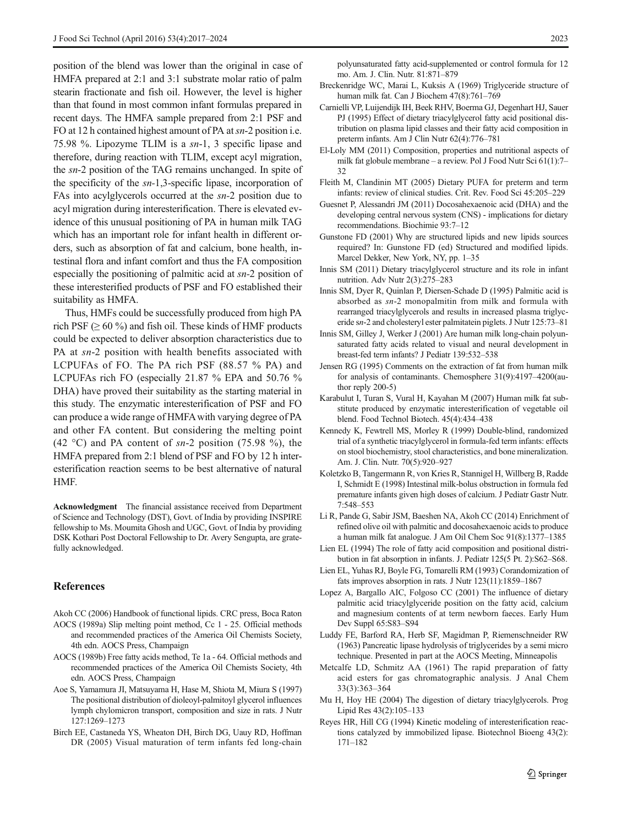<span id="page-6-0"></span>position of the blend was lower than the original in case of HMFA prepared at 2:1 and 3:1 substrate molar ratio of palm stearin fractionate and fish oil. However, the level is higher than that found in most common infant formulas prepared in recent days. The HMFA sample prepared from 2:1 PSF and FO at 12 h contained highest amount of PA at  $sn-2$  position i.e. 75.98 %. Lipozyme TLIM is a sn-1, 3 specific lipase and therefore, during reaction with TLIM, except acyl migration, the sn-2 position of the TAG remains unchanged. In spite of the specificity of the sn-1,3-specific lipase, incorporation of FAs into acylglycerols occurred at the sn-2 position due to acyl migration during interesterification. There is elevated evidence of this unusual positioning of PA in human milk TAG which has an important role for infant health in different orders, such as absorption of fat and calcium, bone health, intestinal flora and infant comfort and thus the FA composition especially the positioning of palmitic acid at sn-2 position of these interesterified products of PSF and FO established their suitability as HMFA.

Thus, HMFs could be successfully produced from high PA rich PSF ( $\geq 60\%$ ) and fish oil. These kinds of HMF products could be expected to deliver absorption characteristics due to PA at sn-2 position with health benefits associated with LCPUFAs of FO. The PA rich PSF (88.57 % PA) and LCPUFAs rich FO (especially 21.87 % EPA and 50.76 % DHA) have proved their suitability as the starting material in this study. The enzymatic interesterification of PSF and FO can produce a wide range of HMFAwith varying degree of PA and other FA content. But considering the melting point (42 °C) and PA content of  $sn-2$  position (75.98 %), the HMFA prepared from 2:1 blend of PSF and FO by 12 h interesterification reaction seems to be best alternative of natural HMF.

Acknowledgment The financial assistance received from Department of Science and Technology (DST), Govt. of India by providing INSPIRE fellowship to Ms. Moumita Ghosh and UGC, Govt. of India by providing DSK Kothari Post Doctoral Fellowship to Dr. Avery Sengupta, are gratefully acknowledged.

# References

- Akoh CC (2006) Handbook of functional lipids. CRC press, Boca Raton
- AOCS (1989a) Slip melting point method, Cc 1 25. Official methods and recommended practices of the America Oil Chemists Society, 4th edn. AOCS Press, Champaign
- AOCS (1989b) Free fatty acids method, Te 1a 64. Official methods and recommended practices of the America Oil Chemists Society, 4th edn. AOCS Press, Champaign
- Aoe S, Yamamura JI, Matsuyama H, Hase M, Shiota M, Miura S (1997) The positional distribution of dioleoyl-palmitoyl glycerol influences lymph chylomicron transport, composition and size in rats. J Nutr 127:1269–1273
- Birch EE, Castaneda YS, Wheaton DH, Birch DG, Uauy RD, Hoffman DR (2005) Visual maturation of term infants fed long-chain

polyunsaturated fatty acid-supplemented or control formula for 12 mo. Am. J. Clin. Nutr. 81:871–879

- Breckenridge WC, Marai L, Kuksis A (1969) Triglyceride structure of human milk fat. Can J Biochem 47(8):761–769
- Carnielli VP, Luijendijk IH, Beek RHV, Boerma GJ, Degenhart HJ, Sauer PJ (1995) Effect of dietary triacylglycerol fatty acid positional distribution on plasma lipid classes and their fatty acid composition in preterm infants. Am J Clin Nutr 62(4):776–781
- El-Loly MM (2011) Composition, properties and nutritional aspects of milk fat globule membrane – a review. Pol J Food Nutr Sci 61(1):7– 32
- Fleith M, Clandinin MT (2005) Dietary PUFA for preterm and term infants: review of clinical studies. Crit. Rev. Food Sci 45:205–229
- Guesnet P, Alessandri JM (2011) Docosahexaenoic acid (DHA) and the developing central nervous system (CNS) - implications for dietary recommendations. Biochimie 93:7–12
- Gunstone FD (2001) Why are structured lipids and new lipids sources required? In: Gunstone FD (ed) Structured and modified lipids. Marcel Dekker, New York, NY, pp. 1–35
- Innis SM (2011) Dietary triacylglycerol structure and its role in infant nutrition. Adv Nutr 2(3):275–283
- Innis SM, Dyer R, Quinlan P, Diersen-Schade D (1995) Palmitic acid is absorbed as sn-2 monopalmitin from milk and formula with rearranged triacylglycerols and results in increased plasma triglyceride sn-2 and cholesteryl ester palmitatein piglets. J Nutr 125:73–81
- Innis SM, Gilley J, Werker J (2001) Are human milk long-chain polyunsaturated fatty acids related to visual and neural development in breast-fed term infants? J Pediatr 139:532–538
- Jensen RG (1995) Comments on the extraction of fat from human milk for analysis of contaminants. Chemosphere 31(9):4197–4200(author reply 200-5)
- Karabulut I, Turan S, Vural H, Kayahan M (2007) Human milk fat substitute produced by enzymatic interesterification of vegetable oil blend. Food Technol Biotech. 45(4):434–438
- Kennedy K, Fewtrell MS, Morley R (1999) Double-blind, randomized trial of a synthetic triacylglycerol in formula-fed term infants: effects on stool biochemistry, stool characteristics, and bone mineralization. Am. J. Clin. Nutr. 70(5):920–927
- Koletzko B, Tangermann R, von Kries R, Stannigel H, Willberg B, Radde I, Schmidt E (1998) Intestinal milk-bolus obstruction in formula fed premature infants given high doses of calcium. J Pediatr Gastr Nutr. 7:548–553
- Li R, Pande G, Sabir JSM, Baeshen NA, Akoh CC (2014) Enrichment of refined olive oil with palmitic and docosahexaenoic acids to produce a human milk fat analogue. J Am Oil Chem Soc 91(8):1377–1385
- Lien EL (1994) The role of fatty acid composition and positional distribution in fat absorption in infants. J. Pediatr 125(5 Pt. 2):S62–S68.
- Lien EL, Yuhas RJ, Boyle FG, Tomarelli RM (1993) Corandomization of fats improves absorption in rats. J Nutr 123(11):1859–1867
- Lopez A, Bargallo AIC, Folgoso CC (2001) The influence of dietary palmitic acid triacylglyceride position on the fatty acid, calcium and magnesium contents of at term newborn faeces. Early Hum Dev Suppl 65:S83–S94
- Luddy FE, Barford RA, Herb SF, Magidman P, Riemenschneider RW (1963) Pancreatic lipase hydrolysis of triglycerides by a semi micro technique. Presented in part at the AOCS Meeting, Minneapolis
- Metcalfe LD, Schmitz AA (1961) The rapid preparation of fatty acid esters for gas chromatographic analysis. J Anal Chem 33(3):363–364
- Mu H, Hoy HE (2004) The digestion of dietary triacylglycerols. Prog Lipid Res 43(2):105–133
- Reyes HR, Hill CG (1994) Kinetic modeling of interesterification reactions catalyzed by immobilized lipase. Biotechnol Bioeng 43(2): 171–182